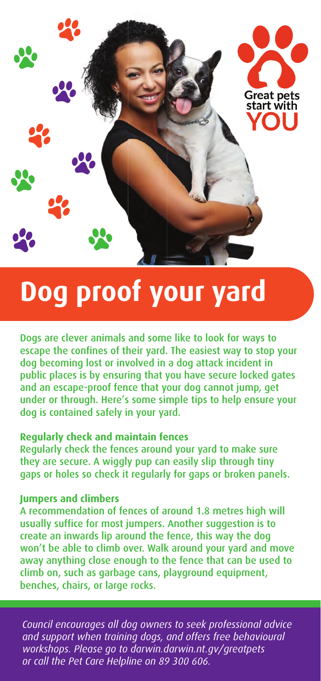

# **Dog proof your yard**

Dogs are clever animals and some like to look for ways to escape the confines of their yard. The easiest way to stop your dog becoming lost or involved in a dog attack incident in public places is by ensuring that you have secure locked gates and an escape-proof fence that your dog cannot jump, get under or through. Here's some simple tips to help ensure your dog is contained safely in your yard.

#### **Regularly check and maintain fences**

Regularly check the fences around your yard to make sure they are secure. A wiggly pup can easily slip through tiny gaps or holes so check it regularly for gaps or broken panels.

## **Jumpers and climbers**

A recommendation of fences of around 1.8 metres high will usually suffice for most jumpers. Another suggestion is to create an inwards lip around the fence, this way the dog won't be able to climb over. Walk around your yard and move away anything close enough to the fence that can be used to climb on, such as garbage cans, playground equipment, benches, chairs, or large rocks.

*Council encourages all dog owners to seek professional advice and support when training dogs, and offers free behavioural workshops. Please go to darwin.darwin.nt.gv/greatpets or call the Pet Care Helpline on 89 300 606.*